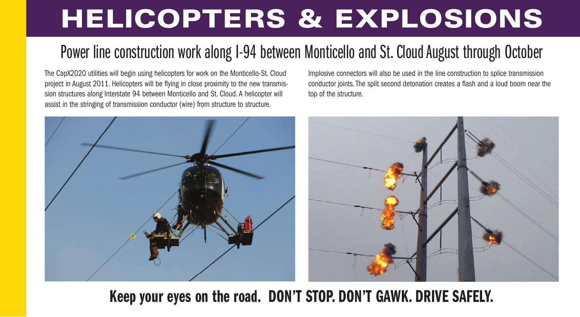# **HELICOPTERS & EXPLOSIONS**

# Power line construction work along I-94 between Monticello and St. Cloud August through October

The CapX2020 utilities will begin using helicopters for work on the Monticello-St. Cloud project in August 2011. Helicopters will be flying in close proximity to the new transmission structures along Interstate 94 between Monticello and St. Cloud. A helicopter will assist in the stringing of transmission conductor (wire) from structure to structure.

Implosive connectors will also be used in the line construction to splice transmission conductor joints. The split second detonation creates a flash and a loud boom near the top of the structure.



## **Keep your eyes on the road. DON'T STOP. DON'T GAWK. DRIVE SAFELY.**